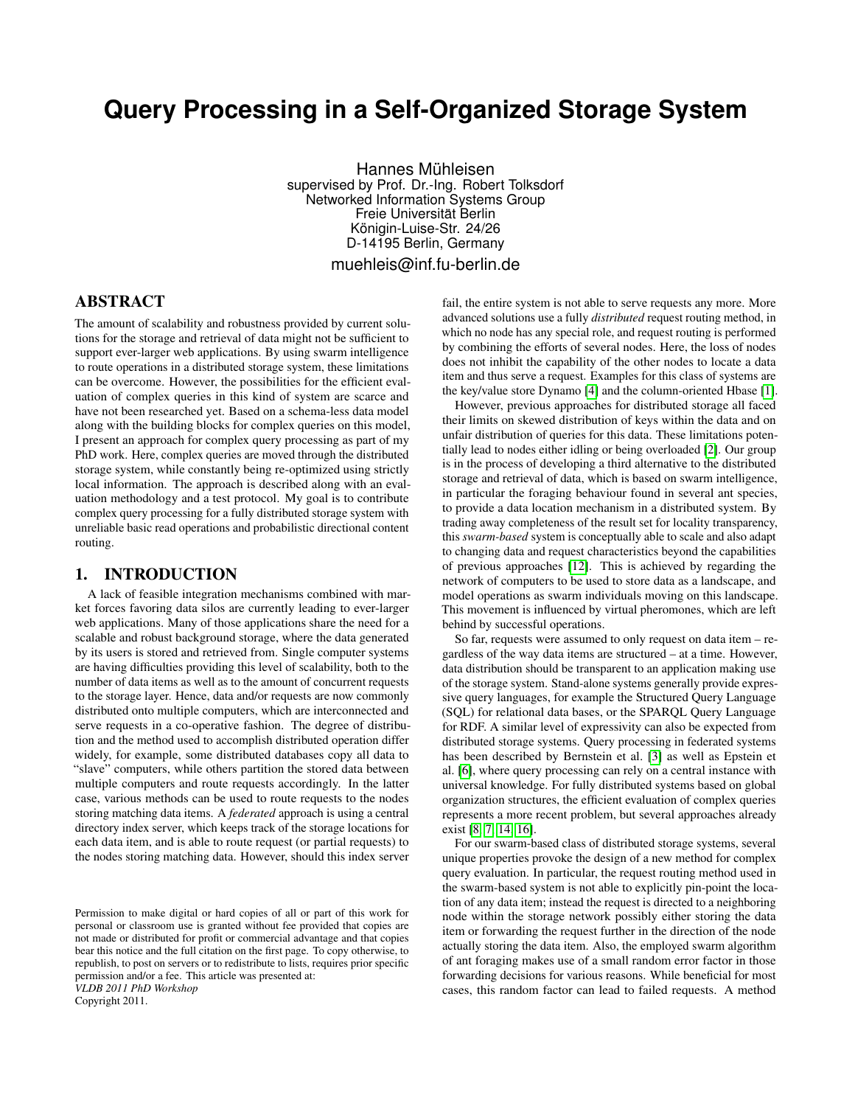# **Query Processing in a Self-Organized Storage System**

Hannes Mühleisen supervised by Prof. Dr.-Ing. Robert Tolksdorf Networked Information Systems Group Freie Universität Berlin Königin-Luise-Str. 24/26 D-14195 Berlin, Germany muehleis@inf.fu-berlin.de

# ABSTRACT

The amount of scalability and robustness provided by current solutions for the storage and retrieval of data might not be sufficient to support ever-larger web applications. By using swarm intelligence to route operations in a distributed storage system, these limitations can be overcome. However, the possibilities for the efficient evaluation of complex queries in this kind of system are scarce and have not been researched yet. Based on a schema-less data model along with the building blocks for complex queries on this model, I present an approach for complex query processing as part of my PhD work. Here, complex queries are moved through the distributed storage system, while constantly being re-optimized using strictly local information. The approach is described along with an evaluation methodology and a test protocol. My goal is to contribute complex query processing for a fully distributed storage system with unreliable basic read operations and probabilistic directional content routing.

## 1. INTRODUCTION

A lack of feasible integration mechanisms combined with market forces favoring data silos are currently leading to ever-larger web applications. Many of those applications share the need for a scalable and robust background storage, where the data generated by its users is stored and retrieved from. Single computer systems are having difficulties providing this level of scalability, both to the number of data items as well as to the amount of concurrent requests to the storage layer. Hence, data and/or requests are now commonly distributed onto multiple computers, which are interconnected and serve requests in a co-operative fashion. The degree of distribution and the method used to accomplish distributed operation differ widely, for example, some distributed databases copy all data to "slave" computers, while others partition the stored data between multiple computers and route requests accordingly. In the latter case, various methods can be used to route requests to the nodes storing matching data items. A *federated* approach is using a central directory index server, which keeps track of the storage locations for each data item, and is able to route request (or partial requests) to the nodes storing matching data. However, should this index server

Permission to make digital or hard copies of all or part of this work for personal or classroom use is granted without fee provided that copies are not made or distributed for profit or commercial advantage and that copies bear this notice and the full citation on the first page. To copy otherwise, to republish, to post on servers or to redistribute to lists, requires prior specific permission and/or a fee. This article was presented at: *VLDB 2011 PhD Workshop*

Copyright 2011.

fail, the entire system is not able to serve requests any more. More advanced solutions use a fully *distributed* request routing method, in which no node has any special role, and request routing is performed by combining the efforts of several nodes. Here, the loss of nodes does not inhibit the capability of the other nodes to locate a data item and thus serve a request. Examples for this class of systems are the key/value store Dynamo [\[4\]](#page-4-0) and the column-oriented Hbase [\[1\]](#page-4-1).

However, previous approaches for distributed storage all faced their limits on skewed distribution of keys within the data and on unfair distribution of queries for this data. These limitations potentially lead to nodes either idling or being overloaded [\[2\]](#page-4-2). Our group is in the process of developing a third alternative to the distributed storage and retrieval of data, which is based on swarm intelligence, in particular the foraging behaviour found in several ant species, to provide a data location mechanism in a distributed system. By trading away completeness of the result set for locality transparency, this *swarm-based* system is conceptually able to scale and also adapt to changing data and request characteristics beyond the capabilities of previous approaches [\[12\]](#page-5-0). This is achieved by regarding the network of computers to be used to store data as a landscape, and model operations as swarm individuals moving on this landscape. This movement is influenced by virtual pheromones, which are left behind by successful operations.

So far, requests were assumed to only request on data item – regardless of the way data items are structured – at a time. However, data distribution should be transparent to an application making use of the storage system. Stand-alone systems generally provide expressive query languages, for example the Structured Query Language (SQL) for relational data bases, or the SPARQL Query Language for RDF. A similar level of expressivity can also be expected from distributed storage systems. Query processing in federated systems has been described by Bernstein et al. [\[3\]](#page-4-3) as well as Epstein et al. [\[6\]](#page-4-4), where query processing can rely on a central instance with universal knowledge. For fully distributed systems based on global organization structures, the efficient evaluation of complex queries represents a more recent problem, but several approaches already exist [\[8,](#page-5-1) [7,](#page-5-2) [14,](#page-5-3) [16\]](#page-5-4).

For our swarm-based class of distributed storage systems, several unique properties provoke the design of a new method for complex query evaluation. In particular, the request routing method used in the swarm-based system is not able to explicitly pin-point the location of any data item; instead the request is directed to a neighboring node within the storage network possibly either storing the data item or forwarding the request further in the direction of the node actually storing the data item. Also, the employed swarm algorithm of ant foraging makes use of a small random error factor in those forwarding decisions for various reasons. While beneficial for most cases, this random factor can lead to failed requests. A method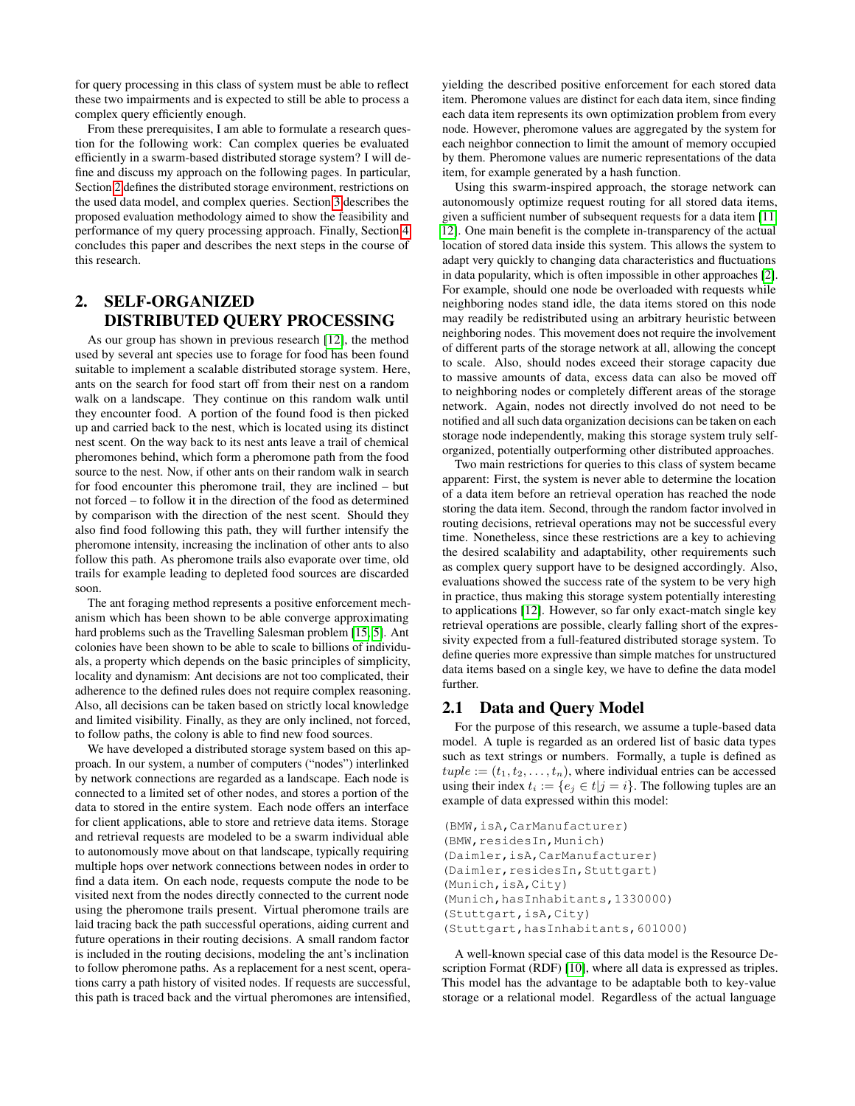for query processing in this class of system must be able to reflect these two impairments and is expected to still be able to process a complex query efficiently enough.

From these prerequisites, I am able to formulate a research question for the following work: Can complex queries be evaluated efficiently in a swarm-based distributed storage system? I will define and discuss my approach on the following pages. In particular, Section [2](#page-1-0) defines the distributed storage environment, restrictions on the used data model, and complex queries. Section [3](#page-4-5) describes the proposed evaluation methodology aimed to show the feasibility and performance of my query processing approach. Finally, Section [4](#page-4-6) concludes this paper and describes the next steps in the course of this research.

# <span id="page-1-0"></span>2. SELF-ORGANIZED DISTRIBUTED QUERY PROCESSING

As our group has shown in previous research [\[12\]](#page-5-0), the method used by several ant species use to forage for food has been found suitable to implement a scalable distributed storage system. Here, ants on the search for food start off from their nest on a random walk on a landscape. They continue on this random walk until they encounter food. A portion of the found food is then picked up and carried back to the nest, which is located using its distinct nest scent. On the way back to its nest ants leave a trail of chemical pheromones behind, which form a pheromone path from the food source to the nest. Now, if other ants on their random walk in search for food encounter this pheromone trail, they are inclined – but not forced – to follow it in the direction of the food as determined by comparison with the direction of the nest scent. Should they also find food following this path, they will further intensify the pheromone intensity, increasing the inclination of other ants to also follow this path. As pheromone trails also evaporate over time, old trails for example leading to depleted food sources are discarded soon.

The ant foraging method represents a positive enforcement mechanism which has been shown to be able converge approximating hard problems such as the Travelling Salesman problem [\[15,](#page-5-5) [5\]](#page-4-7). Ant colonies have been shown to be able to scale to billions of individuals, a property which depends on the basic principles of simplicity, locality and dynamism: Ant decisions are not too complicated, their adherence to the defined rules does not require complex reasoning. Also, all decisions can be taken based on strictly local knowledge and limited visibility. Finally, as they are only inclined, not forced, to follow paths, the colony is able to find new food sources.

We have developed a distributed storage system based on this approach. In our system, a number of computers ("nodes") interlinked by network connections are regarded as a landscape. Each node is connected to a limited set of other nodes, and stores a portion of the data to stored in the entire system. Each node offers an interface for client applications, able to store and retrieve data items. Storage and retrieval requests are modeled to be a swarm individual able to autonomously move about on that landscape, typically requiring multiple hops over network connections between nodes in order to find a data item. On each node, requests compute the node to be visited next from the nodes directly connected to the current node using the pheromone trails present. Virtual pheromone trails are laid tracing back the path successful operations, aiding current and future operations in their routing decisions. A small random factor is included in the routing decisions, modeling the ant's inclination to follow pheromone paths. As a replacement for a nest scent, operations carry a path history of visited nodes. If requests are successful, this path is traced back and the virtual pheromones are intensified, yielding the described positive enforcement for each stored data item. Pheromone values are distinct for each data item, since finding each data item represents its own optimization problem from every node. However, pheromone values are aggregated by the system for each neighbor connection to limit the amount of memory occupied by them. Pheromone values are numeric representations of the data item, for example generated by a hash function.

Using this swarm-inspired approach, the storage network can autonomously optimize request routing for all stored data items, given a sufficient number of subsequent requests for a data item [\[11,](#page-5-6) [12\]](#page-5-0). One main benefit is the complete in-transparency of the actual location of stored data inside this system. This allows the system to adapt very quickly to changing data characteristics and fluctuations in data popularity, which is often impossible in other approaches [\[2\]](#page-4-2). For example, should one node be overloaded with requests while neighboring nodes stand idle, the data items stored on this node may readily be redistributed using an arbitrary heuristic between neighboring nodes. This movement does not require the involvement of different parts of the storage network at all, allowing the concept to scale. Also, should nodes exceed their storage capacity due to massive amounts of data, excess data can also be moved off to neighboring nodes or completely different areas of the storage network. Again, nodes not directly involved do not need to be notified and all such data organization decisions can be taken on each storage node independently, making this storage system truly selforganized, potentially outperforming other distributed approaches.

Two main restrictions for queries to this class of system became apparent: First, the system is never able to determine the location of a data item before an retrieval operation has reached the node storing the data item. Second, through the random factor involved in routing decisions, retrieval operations may not be successful every time. Nonetheless, since these restrictions are a key to achieving the desired scalability and adaptability, other requirements such as complex query support have to be designed accordingly. Also, evaluations showed the success rate of the system to be very high in practice, thus making this storage system potentially interesting to applications [\[12\]](#page-5-0). However, so far only exact-match single key retrieval operations are possible, clearly falling short of the expressivity expected from a full-featured distributed storage system. To define queries more expressive than simple matches for unstructured data items based on a single key, we have to define the data model further.

## 2.1 Data and Query Model

For the purpose of this research, we assume a tuple-based data model. A tuple is regarded as an ordered list of basic data types such as text strings or numbers. Formally, a tuple is defined as  $tuple := (t_1, t_2, \ldots, t_n)$ , where individual entries can be accessed using their index  $t_i := \{e_i \in t | j = i\}$ . The following tuples are an example of data expressed within this model:

```
(BMW,isA,CarManufacturer)
(BMW,residesIn,Munich)
(Daimler,isA,CarManufacturer)
(Daimler, residesIn, Stuttgart)
(Munich,isA,City)
(Munich, hasInhabitants, 1330000)
(Stuttgart,isA,City)
(Stuttgart,hasInhabitants,601000)
```
A well-known special case of this data model is the Resource Description Format (RDF) [\[10\]](#page-5-7), where all data is expressed as triples. This model has the advantage to be adaptable both to key-value storage or a relational model. Regardless of the actual language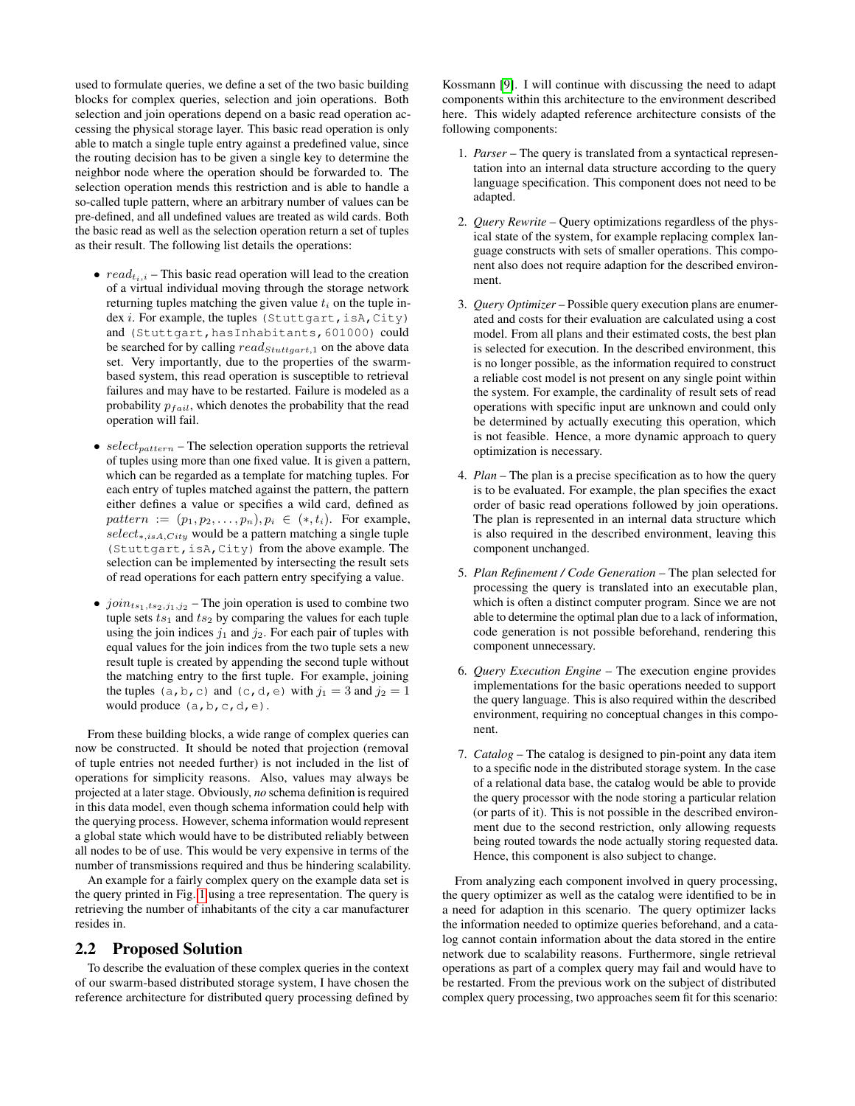used to formulate queries, we define a set of the two basic building blocks for complex queries, selection and join operations. Both selection and join operations depend on a basic read operation accessing the physical storage layer. This basic read operation is only able to match a single tuple entry against a predefined value, since the routing decision has to be given a single key to determine the neighbor node where the operation should be forwarded to. The selection operation mends this restriction and is able to handle a so-called tuple pattern, where an arbitrary number of values can be pre-defined, and all undefined values are treated as wild cards. Both the basic read as well as the selection operation return a set of tuples as their result. The following list details the operations:

- $read_{t_i,i}$  This basic read operation will lead to the creation of a virtual individual moving through the storage network returning tuples matching the given value  $t_i$  on the tuple index  $i$ . For example, the tuples (Stuttgart, isA, City) and (Stuttgart,hasInhabitants,601000) could be searched for by calling  $read_{Stuttgart,1}$  on the above data set. Very importantly, due to the properties of the swarmbased system, this read operation is susceptible to retrieval failures and may have to be restarted. Failure is modeled as a probability  $p_{fail}$ , which denotes the probability that the read operation will fail.
- $select_{pattern}$  The selection operation supports the retrieval of tuples using more than one fixed value. It is given a pattern, which can be regarded as a template for matching tuples. For each entry of tuples matched against the pattern, the pattern either defines a value or specifies a wild card, defined as  $pattern := (p_1, p_2, \ldots, p_n), p_i \in (*, t_i)$ . For example, select<sup>∗</sup>,isA,City would be a pattern matching a single tuple (Stuttgart,isA,City) from the above example. The selection can be implemented by intersecting the result sets of read operations for each pattern entry specifying a value.
- $join_{ts_1, ts_2, j_1, j_2}$  The join operation is used to combine two tuple sets  $ts_1$  and  $ts_2$  by comparing the values for each tuple using the join indices  $j_1$  and  $j_2$ . For each pair of tuples with equal values for the join indices from the two tuple sets a new result tuple is created by appending the second tuple without the matching entry to the first tuple. For example, joining the tuples (a, b, c) and (c, d, e) with  $j_1 = 3$  and  $j_2 = 1$ would produce  $(a, b, c, d, e)$ .

From these building blocks, a wide range of complex queries can now be constructed. It should be noted that projection (removal of tuple entries not needed further) is not included in the list of operations for simplicity reasons. Also, values may always be projected at a later stage. Obviously, *no* schema definition is required in this data model, even though schema information could help with the querying process. However, schema information would represent a global state which would have to be distributed reliably between all nodes to be of use. This would be very expensive in terms of the number of transmissions required and thus be hindering scalability.

An example for a fairly complex query on the example data set is the query printed in Fig. [1](#page-3-0) using a tree representation. The query is retrieving the number of inhabitants of the city a car manufacturer resides in.

### 2.2 Proposed Solution

To describe the evaluation of these complex queries in the context of our swarm-based distributed storage system, I have chosen the reference architecture for distributed query processing defined by Kossmann [\[9\]](#page-5-8). I will continue with discussing the need to adapt components within this architecture to the environment described here. This widely adapted reference architecture consists of the following components:

- 1. *Parser* The query is translated from a syntactical representation into an internal data structure according to the query language specification. This component does not need to be adapted.
- 2. *Query Rewrite* Query optimizations regardless of the physical state of the system, for example replacing complex language constructs with sets of smaller operations. This component also does not require adaption for the described environment.
- <span id="page-2-0"></span>3. *Query Optimizer* – Possible query execution plans are enumerated and costs for their evaluation are calculated using a cost model. From all plans and their estimated costs, the best plan is selected for execution. In the described environment, this is no longer possible, as the information required to construct a reliable cost model is not present on any single point within the system. For example, the cardinality of result sets of read operations with specific input are unknown and could only be determined by actually executing this operation, which is not feasible. Hence, a more dynamic approach to query optimization is necessary.
- 4. *Plan* The plan is a precise specification as to how the query is to be evaluated. For example, the plan specifies the exact order of basic read operations followed by join operations. The plan is represented in an internal data structure which is also required in the described environment, leaving this component unchanged.
- 5. *Plan Refinement / Code Generation* The plan selected for processing the query is translated into an executable plan, which is often a distinct computer program. Since we are not able to determine the optimal plan due to a lack of information, code generation is not possible beforehand, rendering this component unnecessary.
- 6. *Query Execution Engine* The execution engine provides implementations for the basic operations needed to support the query language. This is also required within the described environment, requiring no conceptual changes in this component.
- <span id="page-2-1"></span>7. *Catalog* – The catalog is designed to pin-point any data item to a specific node in the distributed storage system. In the case of a relational data base, the catalog would be able to provide the query processor with the node storing a particular relation (or parts of it). This is not possible in the described environment due to the second restriction, only allowing requests being routed towards the node actually storing requested data. Hence, this component is also subject to change.

From analyzing each component involved in query processing, the query optimizer as well as the catalog were identified to be in a need for adaption in this scenario. The query optimizer lacks the information needed to optimize queries beforehand, and a catalog cannot contain information about the data stored in the entire network due to scalability reasons. Furthermore, single retrieval operations as part of a complex query may fail and would have to be restarted. From the previous work on the subject of distributed complex query processing, two approaches seem fit for this scenario: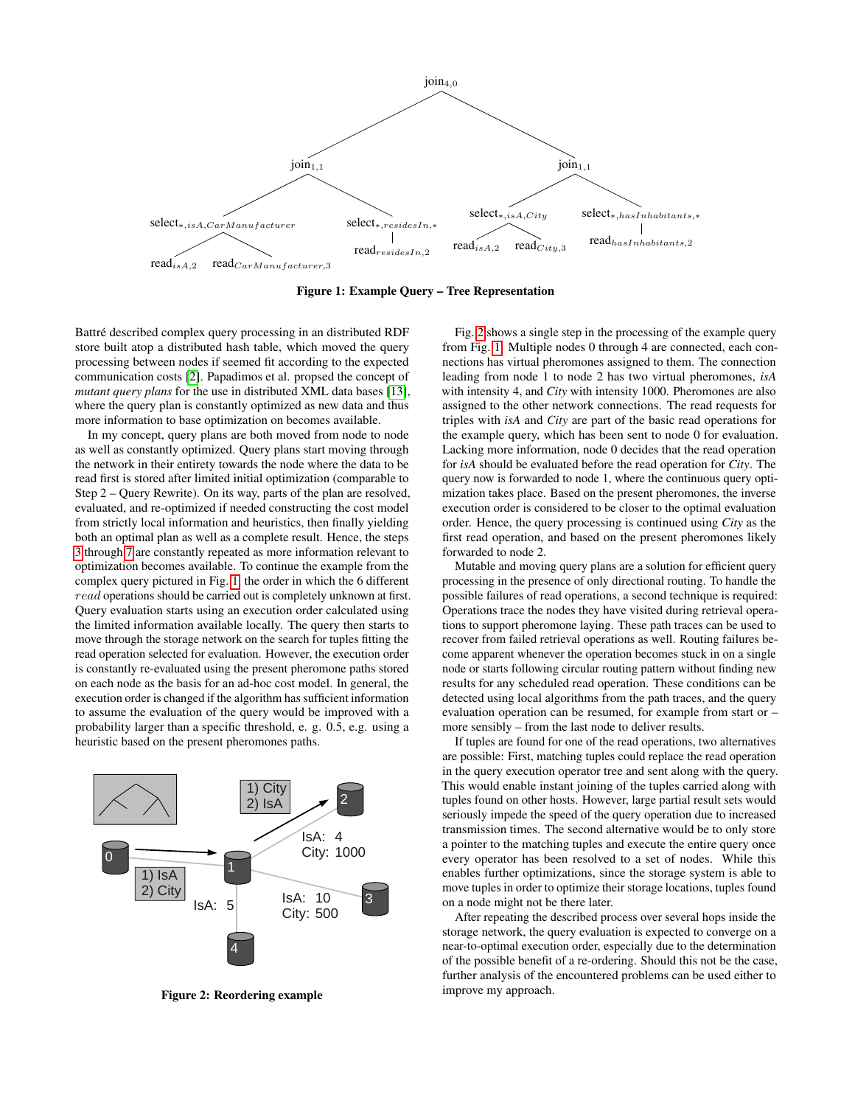

<span id="page-3-0"></span>Figure 1: Example Query – Tree Representation

Battré described complex query processing in an distributed RDF store built atop a distributed hash table, which moved the query processing between nodes if seemed fit according to the expected communication costs [\[2\]](#page-4-2). Papadimos et al. propsed the concept of *mutant query plans* for the use in distributed XML data bases [\[13\]](#page-5-9), where the query plan is constantly optimized as new data and thus more information to base optimization on becomes available.

In my concept, query plans are both moved from node to node as well as constantly optimized. Query plans start moving through the network in their entirety towards the node where the data to be read first is stored after limited initial optimization (comparable to Step 2 – Query Rewrite). On its way, parts of the plan are resolved, evaluated, and re-optimized if needed constructing the cost model from strictly local information and heuristics, then finally yielding both an optimal plan as well as a complete result. Hence, the steps [3](#page-2-0) through [7](#page-2-1) are constantly repeated as more information relevant to optimization becomes available. To continue the example from the complex query pictured in Fig. [1,](#page-3-0) the order in which the 6 different read operations should be carried out is completely unknown at first. Query evaluation starts using an execution order calculated using the limited information available locally. The query then starts to move through the storage network on the search for tuples fitting the read operation selected for evaluation. However, the execution order is constantly re-evaluated using the present pheromone paths stored on each node as the basis for an ad-hoc cost model. In general, the execution order is changed if the algorithm has sufficient information to assume the evaluation of the query would be improved with a probability larger than a specific threshold, e. g. 0.5, e.g. using a heuristic based on the present pheromones paths.



<span id="page-3-1"></span>Figure 2: Reordering example

Fig. [2](#page-3-1) shows a single step in the processing of the example query from Fig. [1:](#page-3-0) Multiple nodes 0 through 4 are connected, each connections has virtual pheromones assigned to them. The connection leading from node 1 to node 2 has two virtual pheromones, *isA* with intensity 4, and *City* with intensity 1000. Pheromones are also assigned to the other network connections. The read requests for triples with *isA* and *City* are part of the basic read operations for the example query, which has been sent to node 0 for evaluation. Lacking more information, node 0 decides that the read operation for *isA* should be evaluated before the read operation for *City*. The query now is forwarded to node 1, where the continuous query optimization takes place. Based on the present pheromones, the inverse execution order is considered to be closer to the optimal evaluation order. Hence, the query processing is continued using *City* as the first read operation, and based on the present pheromones likely forwarded to node 2.

Mutable and moving query plans are a solution for efficient query processing in the presence of only directional routing. To handle the possible failures of read operations, a second technique is required: Operations trace the nodes they have visited during retrieval operations to support pheromone laying. These path traces can be used to recover from failed retrieval operations as well. Routing failures become apparent whenever the operation becomes stuck in on a single node or starts following circular routing pattern without finding new results for any scheduled read operation. These conditions can be detected using local algorithms from the path traces, and the query evaluation operation can be resumed, for example from start or – more sensibly – from the last node to deliver results.

If tuples are found for one of the read operations, two alternatives are possible: First, matching tuples could replace the read operation in the query execution operator tree and sent along with the query. This would enable instant joining of the tuples carried along with tuples found on other hosts. However, large partial result sets would seriously impede the speed of the query operation due to increased transmission times. The second alternative would be to only store a pointer to the matching tuples and execute the entire query once every operator has been resolved to a set of nodes. While this enables further optimizations, since the storage system is able to move tuples in order to optimize their storage locations, tuples found on a node might not be there later.

After repeating the described process over several hops inside the storage network, the query evaluation is expected to converge on a near-to-optimal execution order, especially due to the determination of the possible benefit of a re-ordering. Should this not be the case, further analysis of the encountered problems can be used either to improve my approach.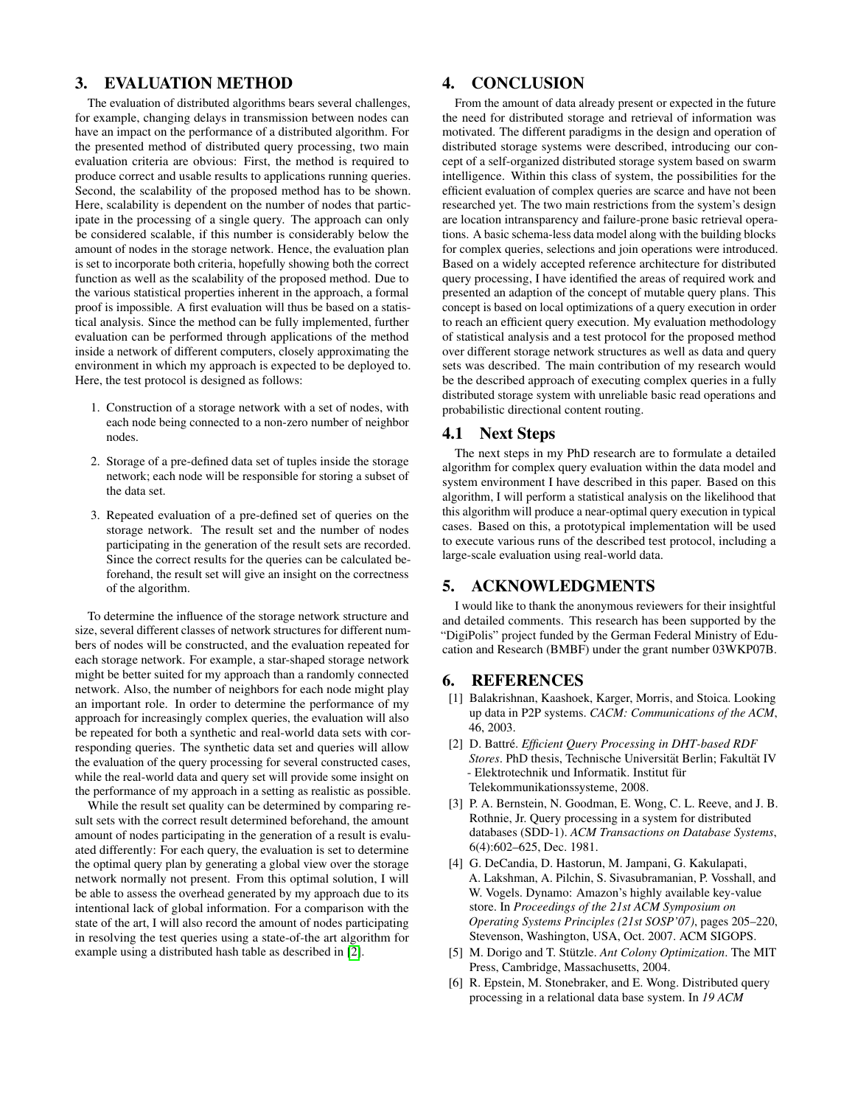# <span id="page-4-5"></span>3. EVALUATION METHOD

The evaluation of distributed algorithms bears several challenges, for example, changing delays in transmission between nodes can have an impact on the performance of a distributed algorithm. For the presented method of distributed query processing, two main evaluation criteria are obvious: First, the method is required to produce correct and usable results to applications running queries. Second, the scalability of the proposed method has to be shown. Here, scalability is dependent on the number of nodes that participate in the processing of a single query. The approach can only be considered scalable, if this number is considerably below the amount of nodes in the storage network. Hence, the evaluation plan is set to incorporate both criteria, hopefully showing both the correct function as well as the scalability of the proposed method. Due to the various statistical properties inherent in the approach, a formal proof is impossible. A first evaluation will thus be based on a statistical analysis. Since the method can be fully implemented, further evaluation can be performed through applications of the method inside a network of different computers, closely approximating the environment in which my approach is expected to be deployed to. Here, the test protocol is designed as follows:

- 1. Construction of a storage network with a set of nodes, with each node being connected to a non-zero number of neighbor nodes.
- 2. Storage of a pre-defined data set of tuples inside the storage network; each node will be responsible for storing a subset of the data set.
- 3. Repeated evaluation of a pre-defined set of queries on the storage network. The result set and the number of nodes participating in the generation of the result sets are recorded. Since the correct results for the queries can be calculated beforehand, the result set will give an insight on the correctness of the algorithm.

To determine the influence of the storage network structure and size, several different classes of network structures for different numbers of nodes will be constructed, and the evaluation repeated for each storage network. For example, a star-shaped storage network might be better suited for my approach than a randomly connected network. Also, the number of neighbors for each node might play an important role. In order to determine the performance of my approach for increasingly complex queries, the evaluation will also be repeated for both a synthetic and real-world data sets with corresponding queries. The synthetic data set and queries will allow the evaluation of the query processing for several constructed cases, while the real-world data and query set will provide some insight on the performance of my approach in a setting as realistic as possible.

While the result set quality can be determined by comparing result sets with the correct result determined beforehand, the amount amount of nodes participating in the generation of a result is evaluated differently: For each query, the evaluation is set to determine the optimal query plan by generating a global view over the storage network normally not present. From this optimal solution, I will be able to assess the overhead generated by my approach due to its intentional lack of global information. For a comparison with the state of the art, I will also record the amount of nodes participating in resolving the test queries using a state-of-the art algorithm for example using a distributed hash table as described in [\[2\]](#page-4-2).

# <span id="page-4-6"></span>4. CONCLUSION

From the amount of data already present or expected in the future the need for distributed storage and retrieval of information was motivated. The different paradigms in the design and operation of distributed storage systems were described, introducing our concept of a self-organized distributed storage system based on swarm intelligence. Within this class of system, the possibilities for the efficient evaluation of complex queries are scarce and have not been researched yet. The two main restrictions from the system's design are location intransparency and failure-prone basic retrieval operations. A basic schema-less data model along with the building blocks for complex queries, selections and join operations were introduced. Based on a widely accepted reference architecture for distributed query processing, I have identified the areas of required work and presented an adaption of the concept of mutable query plans. This concept is based on local optimizations of a query execution in order to reach an efficient query execution. My evaluation methodology of statistical analysis and a test protocol for the proposed method over different storage network structures as well as data and query sets was described. The main contribution of my research would be the described approach of executing complex queries in a fully distributed storage system with unreliable basic read operations and probabilistic directional content routing.

## 4.1 Next Steps

The next steps in my PhD research are to formulate a detailed algorithm for complex query evaluation within the data model and system environment I have described in this paper. Based on this algorithm, I will perform a statistical analysis on the likelihood that this algorithm will produce a near-optimal query execution in typical cases. Based on this, a prototypical implementation will be used to execute various runs of the described test protocol, including a large-scale evaluation using real-world data.

### 5. ACKNOWLEDGMENTS

I would like to thank the anonymous reviewers for their insightful and detailed comments. This research has been supported by the "DigiPolis" project funded by the German Federal Ministry of Education and Research (BMBF) under the grant number 03WKP07B.

#### 6. REFERENCES

- <span id="page-4-1"></span>[1] Balakrishnan, Kaashoek, Karger, Morris, and Stoica. Looking up data in P2P systems. *CACM: Communications of the ACM*, 46, 2003.
- <span id="page-4-2"></span>[2] D. Battré. *Efficient Query Processing in DHT-based RDF Stores*. PhD thesis, Technische Universität Berlin; Fakultät IV - Elektrotechnik und Informatik. Institut für Telekommunikationssysteme, 2008.
- <span id="page-4-3"></span>[3] P. A. Bernstein, N. Goodman, E. Wong, C. L. Reeve, and J. B. Rothnie, Jr. Query processing in a system for distributed databases (SDD-1). *ACM Transactions on Database Systems*, 6(4):602–625, Dec. 1981.
- <span id="page-4-0"></span>[4] G. DeCandia, D. Hastorun, M. Jampani, G. Kakulapati, A. Lakshman, A. Pilchin, S. Sivasubramanian, P. Vosshall, and W. Vogels. Dynamo: Amazon's highly available key-value store. In *Proceedings of the 21st ACM Symposium on Operating Systems Principles (21st SOSP'07)*, pages 205–220, Stevenson, Washington, USA, Oct. 2007. ACM SIGOPS.
- <span id="page-4-7"></span>[5] M. Dorigo and T. Stützle. Ant Colony Optimization. The MIT Press, Cambridge, Massachusetts, 2004.
- <span id="page-4-4"></span>[6] R. Epstein, M. Stonebraker, and E. Wong. Distributed query processing in a relational data base system. In *19 ACM*